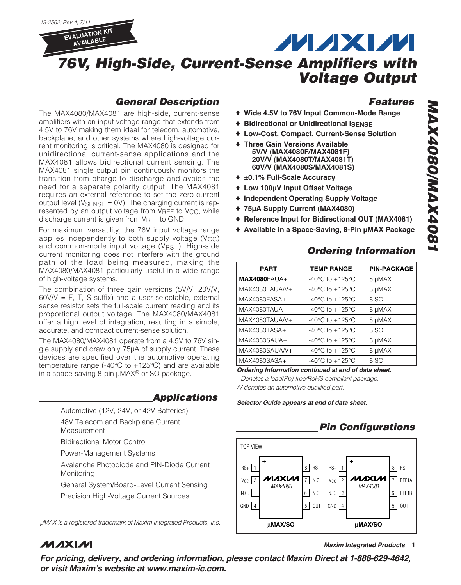

### **General Description**

The MAX4080/MAX4081 are high-side, current-sense amplifiers with an input voltage range that extends from 4.5V to 76V making them ideal for telecom, automotive, backplane, and other systems where high-voltage current monitoring is critical. The MAX4080 is designed for unidirectional current-sense applications and the MAX4081 allows bidirectional current sensing. The MAX4081 single output pin continuously monitors the transition from charge to discharge and avoids the need for a separate polarity output. The MAX4081 requires an external reference to set the zero-current output level ( $V_{\text{SENSE}} = \text{OV}$ ). The charging current is represented by an output voltage from VREF to VCC, while discharge current is given from VREF to GND.

For maximum versatility, the 76V input voltage range applies independently to both supply voltage  $(V_{CC})$ and common-mode input voltage (VRS+). High-side current monitoring does not interfere with the ground path of the load being measured, making the MAX4080/MAX4081 particularly useful in a wide range of high-voltage systems.

The combination of three gain versions (5V/V, 20V/V,  $60V/V = F$ , T, S suffix) and a user-selectable, external sense resistor sets the full-scale current reading and its proportional output voltage. The MAX4080/MAX4081 offer a high level of integration, resulting in a simple, accurate, and compact current-sense solution.

The MAX4080/MAX4081 operate from a 4.5V to 76V single supply and draw only 75µA of supply current. These devices are specified over the automotive operating temperature range (-40 $^{\circ}$ C to +125 $^{\circ}$ C) and are available in a space-saving 8-pin µMAX® or SO package.

#### **Applications**

- Automotive (12V, 24V, or 42V Batteries)
- 48V Telecom and Backplane Current
- Measurement
- Bidirectional Motor Control
- Power-Management Systems
- Avalanche Photodiode and PIN-Diode Current Monitoring
- General System/Board-Level Current Sensing
- Precision High-Voltage Current Sources

µMAX is a registered trademark of Maxim Integrated Products, Inc.

#### **Features**

♦ **Wide 4.5V to 76V Input Common-Mode Range**

**MAXM** 

- ♦ **Bidirectional or Unidirectional ISENSE**
- ♦ **Low-Cost, Compact, Current-Sense Solution**
- ♦ **Three Gain Versions Available 5V/V (MAX4080F/MAX4081F) 20V/V (MAX4080T/MAX4081T) 60V/V (MAX4080S/MAX4081S)**
- ♦ **±0.1% Full-Scale Accuracy**
- ♦ **Low 100µV Input Offset Voltage**
- ♦ **Independent Operating Supply Voltage**
- ♦ **75µA Supply Current (MAX4080)**
- ♦ **Reference Input for Bidirectional OUT (MAX4081)**
- ♦ **Available in a Space-Saving, 8-Pin µMAX Package**

### **Ordering Information**

| <b>PART</b>         | <b>TEMP RANGE</b>                     | <b>PIN-PACKAGE</b> |
|---------------------|---------------------------------------|--------------------|
| <b>MAX4080FAUA+</b> | -40 $^{\circ}$ C to +125 $^{\circ}$ C | 8 µMAX             |
| MAX4080FAUA/V+      | $-40^{\circ}$ C to $+125^{\circ}$ C   | 8 µMAX             |
| MAX4080FASA+        | $-40^{\circ}$ C to $+125^{\circ}$ C   | 8 SO               |
| MAX4080TAUA+        | $-40^{\circ}$ C to $+125^{\circ}$ C   | 8 µMAX             |
| MAX4080TAUA/V+      | -40 $^{\circ}$ C to +125 $^{\circ}$ C | 8 µMAX             |
| MAX4080TASA+        | $-40^{\circ}$ C to $+125^{\circ}$ C   | 8 SO               |
| MAX4080SAUA+        | -40 $^{\circ}$ C to +125 $^{\circ}$ C | 8 µMAX             |
| MAX4080SAUA/V+      | -40 $^{\circ}$ C to +125 $^{\circ}$ C | 8 µMAX             |
| MAX4080SASA+        | $-40^{\circ}$ C to $+125^{\circ}$ C   | 8 SO               |

**Ordering Information continued at end of data sheet.**

+Denotes a lead(Pb)-free/RoHS-compliant package. /V denotes an automotive qualified part.

**Selector Guide appears at end of data sheet.**

### **Pin Configurations**



**MAXM** 

**\_\_\_\_\_\_\_\_\_\_\_\_\_\_\_\_\_\_\_\_\_\_\_\_\_\_\_\_\_\_\_\_\_\_\_\_\_\_\_\_\_\_\_\_\_\_\_\_\_\_\_\_\_\_\_\_\_\_\_\_\_\_\_\_ Maxim Integrated Products 1**

**For pricing, delivery, and ordering information, please contact Maxim Direct at 1-888-629-4642, or visit Maxim's website at www.maxim-ic.com.**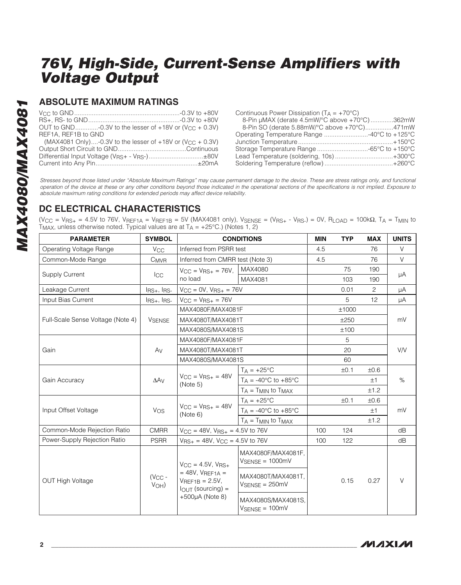#### **ABSOLUTE MAXIMUM RATINGS**

| OUT to GND-0.3V to the lesser of +18V or (V <sub>CC</sub> + 0.3V)         |  |
|---------------------------------------------------------------------------|--|
| REF1A, REF1B to GND                                                       |  |
| (MAX4081 Only)-0.3V to the lesser of $+18V$ or (V <sub>CC</sub> $+$ 0.3V) |  |
|                                                                           |  |
| Differential Input Voltage (VRS+ - VRS-)±80V                              |  |
|                                                                           |  |

| Continuous Power Dissipation $(T_A = +70^{\circ}C)$ |  |
|-----------------------------------------------------|--|
| 8-Pin µMAX (derate 4.5mW/°C above +70°C) 362mW      |  |
| 8-Pin SO (derate 5.88mW/°C above +70°C)471mW        |  |
|                                                     |  |
|                                                     |  |
|                                                     |  |
| Lead Temperature (soldering, 10s)+300°C             |  |
|                                                     |  |

Stresses beyond those listed under "Absolute Maximum Ratings" may cause permanent damage to the device. These are stress ratings only, and functional operation of the device at these or any other conditions beyond those indicated in the operational sections of the specifications is not implied. Exposure to absolute maximum rating conditions for extended periods may affect device reliability.

### **DC ELECTRICAL CHARACTERISTICS**

 $(V_{CC} = V_{RS+} = 4.5V$  to 76V,  $V_{REF1A} = V_{REF1B} = 5V$  (MAX4081 only),  $V_{SENSE} = (V_{RS+} - V_{RS-}) = 0V$ ,  $R_{LOAD} = 100k\Omega$ ,  $T_A = T_{MIN}$  to  $T_{MAX}$ , unless otherwise noted. Typical values are at  $T_A = +25^{\circ}$ C.) (Notes 1, 2)

| <b>PARAMETER</b>                  | <b>SYMBOL</b>         | <b>CONDITIONS</b>                                                                                                     |                                                           | <b>MIN</b> | <b>TYP</b> | <b>MAX</b> | <b>UNITS</b> |  |
|-----------------------------------|-----------------------|-----------------------------------------------------------------------------------------------------------------------|-----------------------------------------------------------|------------|------------|------------|--------------|--|
| Operating Voltage Range           | <b>V<sub>CC</sub></b> | Inferred from PSRR test                                                                                               |                                                           | 4.5        |            | 76         | $\vee$       |  |
| Common-Mode Range                 | C <sub>MVR</sub>      | Inferred from CMRR test (Note 3)                                                                                      |                                                           | 4.5        |            | 76         | V            |  |
|                                   |                       | $V_{CC} = V_{BS+} = 76V$ ,                                                                                            | MAX4080                                                   |            | 75         | 190        |              |  |
| <b>Supply Current</b>             | Icc                   | no load                                                                                                               | MAX4081                                                   |            | 103        | 190        | μA           |  |
| Leakage Current                   | $I_{RS+}$ , $I_{RS-}$ | $V_{CC} = 0V$ , $V_{RS+} = 76V$                                                                                       |                                                           |            | 0.01       | 2          | μA           |  |
| Input Bias Current                | $I_{RS+}$ , $I_{RS-}$ | $V_{CC} = V_{RS+} = 76V$                                                                                              |                                                           |            | 5          | 12         | μA           |  |
|                                   |                       | MAX4080F/MAX4081F                                                                                                     |                                                           |            | ±1000      |            |              |  |
| Full-Scale Sense Voltage (Note 4) | <b>VSENSE</b>         | MAX4080T/MAX4081T                                                                                                     |                                                           |            | ±250       |            | mV           |  |
|                                   |                       | MAX4080S/MAX4081S                                                                                                     |                                                           |            | ±100       |            |              |  |
|                                   |                       | MAX4080F/MAX4081F                                                                                                     |                                                           |            | 5          |            |              |  |
| Gain                              | Av                    | MAX4080T/MAX4081T                                                                                                     |                                                           |            | 20         |            | <b>V/V</b>   |  |
|                                   |                       | MAX4080S/MAX4081S                                                                                                     |                                                           |            | 60         |            |              |  |
|                                   | $\Delta$ A $\vee$     | $V_{CC} = V_{BS+} = 48V$<br>(Note 5)                                                                                  | $T_A = +25$ °C                                            |            | ±0.1       | ±0.6       | $\%$         |  |
| Gain Accuracy                     |                       |                                                                                                                       | $T_A = -40\degree C$ to $+85\degree C$                    |            |            | ±1         |              |  |
|                                   |                       |                                                                                                                       | $T_A = T_{MIN}$ to $T_{MAX}$                              |            |            | ±1.2       |              |  |
|                                   |                       |                                                                                                                       | $T_A = +25$ °C                                            |            | ±0.1       | ±0.6       |              |  |
| Input Offset Voltage              | Vos                   | $V_{CC} = V_{BS+} = 48V$<br>(Note 6)                                                                                  | $T_A = -40\degree C$ to $+85\degree C$                    |            |            | ±1         | mV           |  |
|                                   |                       |                                                                                                                       | $T_A = T_{MIN}$ to $T_{MAX}$                              |            |            | ±1.2       |              |  |
| Common-Mode Rejection Ratio       | <b>CMRR</b>           | $V_{CC}$ = 48V, $V_{RS+}$ = 4.5V to 76V                                                                               |                                                           | 100        | 124        |            | dB           |  |
| Power-Supply Rejection Ratio      | <b>PSRR</b>           | $V_{RS+} = 48V$ , $V_{CC} = 4.5V$ to 76V                                                                              |                                                           | 100        | 122        |            | dB           |  |
|                                   |                       | $V_{\text{CC}} = 4.5V$ , $V_{\text{BS+}}$                                                                             | MAX4080F/MAX4081F.<br>$V_{\text{SENSE}} = 1000 \text{mV}$ |            |            |            |              |  |
| <b>OUT High Voltage</b>           | $(V_{CC} -$<br>VOH)   | $= 48V$ , $V$ REF <sub>1A</sub> =<br>$V$ RFF <sub>1</sub> $R = 2.5V$ ,<br>$IOUT$ (sourcing) =<br>$+500\mu A$ (Note 8) | MAX4080T/MAX4081T.<br>$V$ SENSE = 250mV                   |            | 0.15       | 0.27       | $\vee$       |  |
|                                   |                       |                                                                                                                       | MAX4080S/MAX4081S,<br>$V_{\text{SENSE}} = 100 \text{mV}$  |            |            |            |              |  |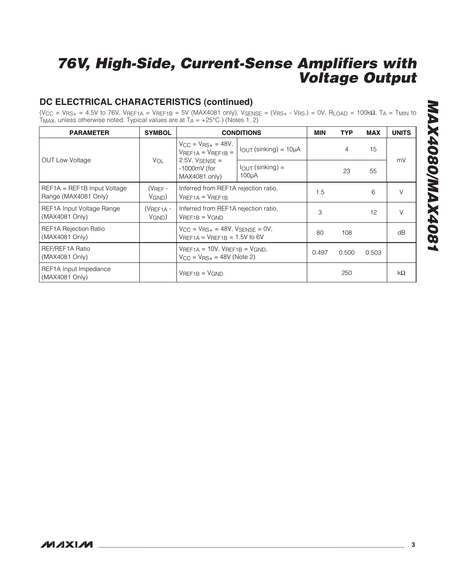### **DC ELECTRICAL CHARACTERISTICS (continued)**

 $(V_{CC} = V_{RS+} = 4.5V$  to 76V,  $V_{REF1A} = V_{REF1B} = 5V$  (MAX4081 only),  $V_{SENSE} = (V_{RS+} - V_{RS-}) = 0V$ ,  $R_{LOAD} = 100k\Omega$ ,  $T_A = T_{MIN}$  to  $T_{MAX}$ , unless otherwise noted. Typical values are at  $T_A = +25^{\circ}$ C.) (Notes 1, 2)

| <b>PARAMETER</b>                                      | <b>SYMBOL</b>                                                                         |                                                                                       | <b>CONDITIONS</b>               | <b>MIN</b> | <b>TYP</b>     | <b>MAX</b> | <b>UNITS</b> |
|-------------------------------------------------------|---------------------------------------------------------------------------------------|---------------------------------------------------------------------------------------|---------------------------------|------------|----------------|------------|--------------|
|                                                       |                                                                                       | $V_{\text{CC}} = V_{\text{BS}+} = 48V,$<br>$V$ REF1A = $V$ REF1B =                    | $I_{OUT}$ (sinking) = $10\mu A$ |            | $\overline{4}$ | 15         | mV           |
| <b>OUT Low Voltage</b>                                | VOL<br>$I_{\text{OUT}}$ (sinking) =<br>$-1000$ mV (for<br>$100\mu A$<br>MAX4081 only) | $2.5V$ , $V$ SENSE =                                                                  |                                 |            | 23             | 55         |              |
| $REF1A = REF1B$ Input Voltage<br>Range (MAX4081 Only) | $(V_{BEF} -$<br>$V$ GND $)$                                                           | Inferred from REF1A rejection ratio,<br>$V$ REF <sub>1A</sub> = $V$ REF <sub>1B</sub> |                                 | 1.5        |                | 6          | V            |
| REF1A Input Voltage Range<br>(MAX4081 Only)           | $(V$ REF <sub>1A</sub> -<br>$V_{GND}$ )                                               | Inferred from REF1A rejection ratio,<br>$V$ REF <sub>1B</sub> = $V$ GND               |                                 | 3          |                | 12         | V            |
| <b>REF1A Rejection Ratio</b><br>(MAX4081 Only)        |                                                                                       | $V_{CC} = V_{RS+} = 48V$ , $V_{SENSE} = 0V$ ,<br>$V$ REF1A = $V$ REF1B = 1.5V to 6V   |                                 | 80         | 108            |            | dB           |
| REF/REF1A Ratio<br>(MAX4081 Only)                     |                                                                                       | $V$ REF1A = 10V, $V$ REF1B = $V$ GND,<br>$V_{CC} = V_{RS+} = 48V$ (Note 2)            |                                 | 0.497      | 0.500          | 0.503      |              |
| REF1A Input Impedance<br>(MAX4081 Only)               |                                                                                       | $V$ REF <sub>1B</sub> = $V$ GND                                                       |                                 |            | 250            |            | kΩ           |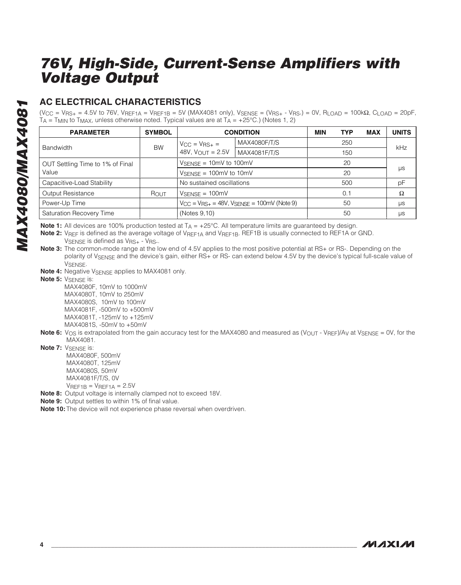### **AC ELECTRICAL CHARACTERISTICS**

 $(V_{CC} = V_{BS+} = 4.5V$  to 76V,  $V_{REF1A} = V_{REF1B} = 5V$  (MAX4081 only),  $V_{SENSE} = (V_{BS+} - V_{BS-}) = 0V$ ,  $R_{LOAD} = 100k\Omega$ ,  $C_{LOAD} = 20pF$ ,  $TA = T_{MIN}$  to  $T_{MAX}$ , unless otherwise noted. Typical values are at  $TA = +25^{\circ}C$ .) (Notes 1, 2)

| <b>PARAMETER</b>                 | <b>SYMBOL</b> | <b>CONDITION</b>                                         |              | <b>MIN</b> | <b>TYP</b> | <b>MAX</b> | <b>UNITS</b> |
|----------------------------------|---------------|----------------------------------------------------------|--------------|------------|------------|------------|--------------|
|                                  | <b>BW</b>     | $V_{\rm CC} = V_{\rm RS+} =$                             | MAX4080F/T/S |            | 250        |            | kHz          |
| <b>Bandwidth</b>                 |               | 48V, $V_{OUT} = 2.5V$                                    | MAX4081F/T/S |            | 150        |            |              |
| OUT Settling Time to 1% of Final |               | $V_{\text{SENSE}} = 10 \text{mV}$ to 100 mV              |              |            | 20         |            |              |
| Value                            |               | $V_{\text{SENSE}} = 100 \text{mV}$ to 10 mV              |              |            | 20         |            | μs           |
| Capacitive-Load Stability        |               | No sustained oscillations                                |              |            | 500        |            | pF           |
| Output Resistance                | Rout          | $V_{\text{SENSE}} = 100 \text{mV}$                       |              |            | 0.1        |            | $\Omega$     |
| Power-Up Time                    |               | $V_{CC} = V_{RS+} = 48V$ , $V_{SENSE} = 100$ mV (Note 9) |              |            | 50         |            | μs           |
| Saturation Recovery Time         |               | (Notes 9,10)                                             |              |            | 50         |            | μs           |

**Note 1:** All devices are 100% production tested at  $T_A = +25^{\circ}C$ . All temperature limits are guaranteed by design.

Note 2: V<sub>REF</sub> is defined as the average voltage of V<sub>REF1A</sub> and V<sub>REF1B</sub>. REF1B is usually connected to REF1A or GND. VSENSE is defined as VRS+ - VRS-.

**Note 3:** The common-mode range at the low end of 4.5V applies to the most positive potential at RS+ or RS-. Depending on the polarity of V<sub>SENSE</sub> and the device's gain, either RS+ or RS- can extend below 4.5V by the device's typical full-scale value of VSENSE.

**Note 4:** Negative V<sub>SENSE</sub> applies to MAX4081 only.

**Note 5: VSENSE is:** 

MAX4080F, 10mV to 1000mV MAX4080T, 10mV to 250mV MAX4080S, 10mV to 100mV MAX4081F, -500mV to +500mV MAX4081T, -125mV to +125mV MAX4081S, -50mV to +50mV

**Note 6:** V<sub>OS</sub> is extrapolated from the gain accuracy test for the MAX4080 and measured as (V<sub>OUT</sub> - V<sub>REF</sub>)/A<sub>V</sub> at V<sub>SENSE</sub> = 0V, for the MAX4081.

**Note 7:** V<sub>SENSE</sub> is: MAX4080F, 500mV MAX4080T, 125mV

MAX4080S, 50mV MAX4081F/T/S, 0V  $V$ REF1B =  $V$ REF1A = 2.5V

**Note 8:** Output voltage is internally clamped not to exceed 18V.

**Note 9:** Output settles to within 1% of final value.

**Note 10:** The device will not experience phase reversal when overdriven.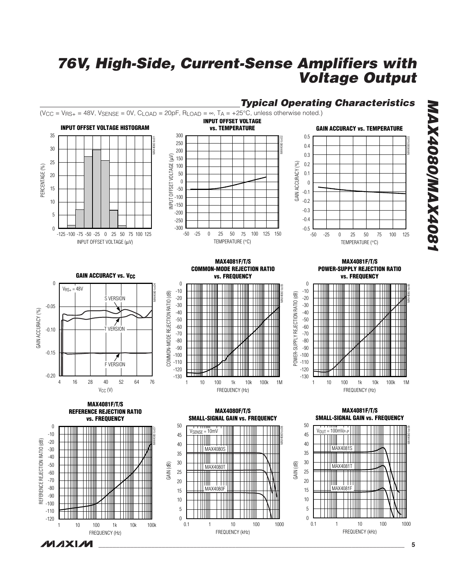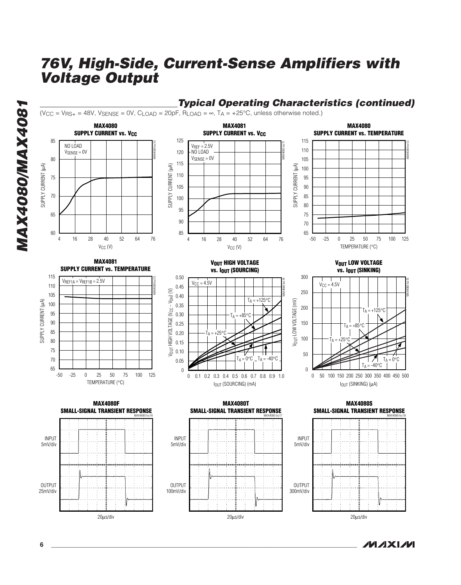



**6 \_\_\_\_\_\_\_\_\_\_\_\_\_\_\_\_\_\_\_\_\_\_\_\_\_\_\_\_\_\_\_\_\_\_\_\_\_\_\_\_\_\_\_\_\_\_\_\_\_\_\_\_\_\_\_\_\_\_\_\_\_\_\_\_\_\_\_\_\_\_\_\_\_\_\_\_\_\_\_\_\_\_\_\_\_\_\_**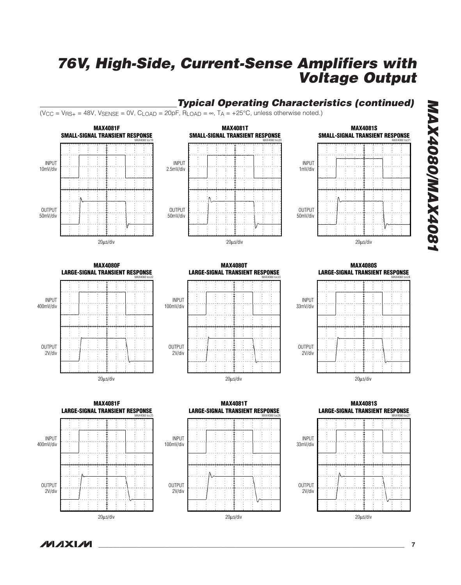### **Typical Operating Characteristics (continued)**

 $(V_{CC} = V_{BS+} = 48V, V_{SENSE} = 0V, C_{LOAD} = 20pF, R_{LOAD} = \infty, T_A = +25^{\circ}C,$  unless otherwise noted.)







**MAX4080/MAX4081**

**MAX4080/MAX4081** 

MAX4080 toc22 **MAX4080F<br>LARGE-SIGNAL TRANSIENT RESPONSE** 



**LARGE-SIGNAL TRANSIENT RESPONSE** INPUT 100mV/div OUTPUT 2V/div 20µs/div



![](_page_6_Figure_10.jpeg)

![](_page_6_Figure_11.jpeg)

![](_page_6_Figure_12.jpeg)

**MAX4081T**

![](_page_6_Figure_13.jpeg)

**MAX4080S**

![](_page_6_Figure_15.jpeg)

**LARGE-SIGNAL TRANSIENT RESPONSE** MAX4080 toc27 **LARGE-SIGNAL TRANSIENT RESPONSE MAX4081S**

![](_page_6_Figure_17.jpeg)

**MAXM**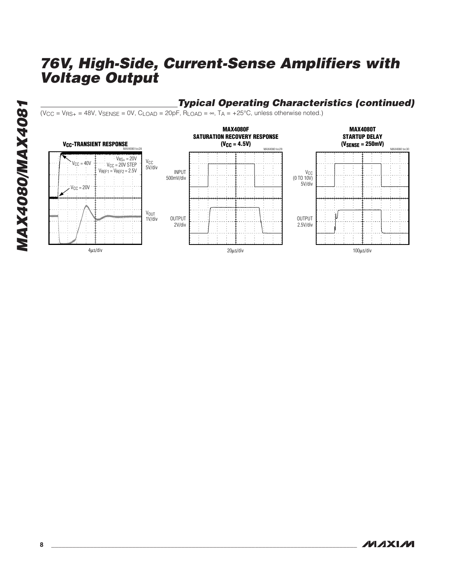### **Typical Operating Characteristics (continued)**

 $(V_{CC} = V_{BS+} = 48V, V_{SENSE} = 0V, C_{LOAD} = 20pF, R_{LOAD} = \infty, T_A = +25°C$ , unless otherwise noted.)

![](_page_7_Figure_3.jpeg)

**MAXIM**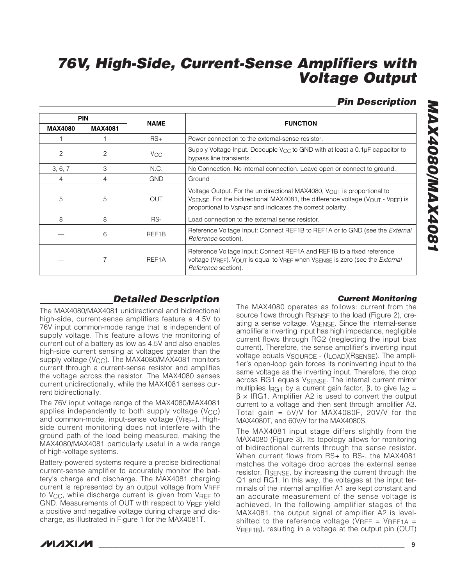### **Pin Description**

| <b>PIN</b>     |                | <b>NAME</b>        |                                                                                                                                                                                                                                     |
|----------------|----------------|--------------------|-------------------------------------------------------------------------------------------------------------------------------------------------------------------------------------------------------------------------------------|
| <b>MAX4080</b> | <b>MAX4081</b> |                    | <b>FUNCTION</b>                                                                                                                                                                                                                     |
|                |                | $RS+$              | Power connection to the external-sense resistor.                                                                                                                                                                                    |
| $\overline{c}$ | $\overline{c}$ | V <sub>CC</sub>    | Supply Voltage Input. Decouple V <sub>CC</sub> to GND with at least a 0.1µF capacitor to<br>bypass line transients.                                                                                                                 |
| 3, 6, 7        | 3              | N.C.               | No Connection. No internal connection. Leave open or connect to ground.                                                                                                                                                             |
| 4              | 4              | <b>GND</b>         | Ground                                                                                                                                                                                                                              |
| 5              | 5              | <b>OUT</b>         | Voltage Output. For the unidirectional MAX4080, $V_{\text{OUT}}$ is proportional to<br>VSENSE. For the bidirectional MAX4081, the difference voltage (VOUT - VREF) is<br>proportional to VSENSE and indicates the correct polarity. |
| 8              | 8              | RS-                | Load connection to the external sense resistor.                                                                                                                                                                                     |
|                | 6              | REF <sub>1</sub> B | Reference Voltage Input: Connect REF1B to REF1A or to GND (see the <i>External</i><br>Reference section).                                                                                                                           |
|                |                | REF <sub>1</sub> A | Reference Voltage Input: Connect REF1A and REF1B to a fixed reference<br>voltage (VREF). VOUT is equal to VREF when VSENSE is zero (see the <i>External</i><br><i>Reference</i> section).                                           |

### **Detailed Description**

The MAX4080/MAX4081 unidirectional and bidirectional high-side, current-sense amplifiers feature a 4.5V to 76V input common-mode range that is independent of supply voltage. This feature allows the monitoring of current out of a battery as low as 4.5V and also enables high-side current sensing at voltages greater than the supply voltage (V<sub>CC</sub>). The MAX4080/MAX4081 monitors current through a current-sense resistor and amplifies the voltage across the resistor. The MAX4080 senses current unidirectionally, while the MAX4081 senses current bidirectionally.

The 76V input voltage range of the MAX4080/MAX4081 applies independently to both supply voltage  $(V_{CC})$ and common-mode, input-sense voltage (VRS+). Highside current monitoring does not interfere with the ground path of the load being measured, making the MAX4080/MAX4081 particularly useful in a wide range of high-voltage systems.

Battery-powered systems require a precise bidirectional current-sense amplifier to accurately monitor the battery's charge and discharge. The MAX4081 charging current is represented by an output voltage from VREF to VCC, while discharge current is given from VREF to GND. Measurements of OUT with respect to VREF yield a positive and negative voltage during charge and discharge, as illustrated in Figure 1 for the MAX4081T.

#### **Current Monitoring**

The MAX4080 operates as follows: current from the source flows through RSENSE to the load (Figure 2), creating a sense voltage, VSENSE. Since the internal-sense amplifier's inverting input has high impedance, negligible current flows through RG2 (neglecting the input bias current). Therefore, the sense amplifier's inverting input voltage equals VSOURCE - (ILOAD)(RSENSE). The amplifier's open-loop gain forces its noninverting input to the same voltage as the inverting input. Therefore, the drop across RG1 equals VSENSE. The internal current mirror multiplies I<sub>RG1</sub> by a current gain factor,  $\beta$ , to give I<sub>A2</sub> =  $β \times IRG1$ . Amplifier A2 is used to convert the output current to a voltage and then sent through amplifier A3. Total gain = 5V/V for MAX4080F, 20V/V for the MAX4080T, and 60V/V for the MAX4080S.

The MAX4081 input stage differs slightly from the MAX4080 (Figure 3). Its topology allows for monitoring of bidirectional currents through the sense resistor. When current flows from RS+ to RS-, the MAX4081 matches the voltage drop across the external sense resistor, RSENSE, by increasing the current through the Q1 and RG1. In this way, the voltages at the input terminals of the internal amplifier A1 are kept constant and an accurate measurement of the sense voltage is achieved. In the following amplifier stages of the MAX4081, the output signal of amplifier A2 is levelshifted to the reference voltage (VREF = VREF1A = VREF1B), resulting in a voltage at the output pin (OUT)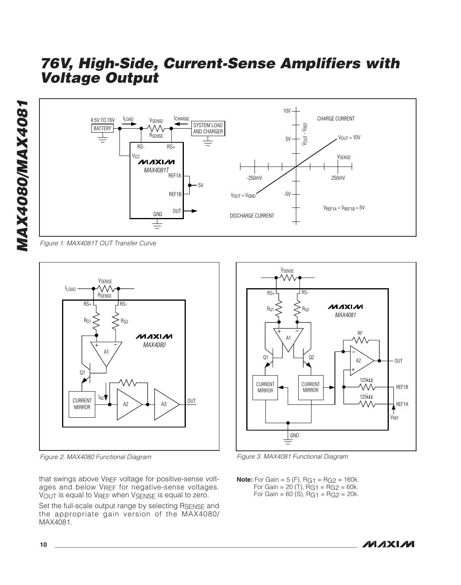![](_page_9_Figure_2.jpeg)

Figure 1. MAX4081T OUT Transfer Curve

![](_page_9_Figure_4.jpeg)

Figure 2. MAX4080 Functional Diagram Figure 3. MAX4081 Functional Diagram

that swings above VREF voltage for positive-sense voltages and below VREF for negative-sense voltages. VOUT is equal to VREF when VSENSE is equal to zero.

Set the full-scale output range by selecting RSENSE and the appropriate gain version of the MAX4080/ MAX4081.

![](_page_9_Figure_8.jpeg)

**Note:** For Gain =  $5$  (F),  $RG_1 = RG_2 = 160k$ . For Gain = 20 (T),  $RG_1 = RG_2 = 60k$ . For Gain =  $60$  (S), RG1 = RG2 =  $20k$ .

![](_page_9_Picture_11.jpeg)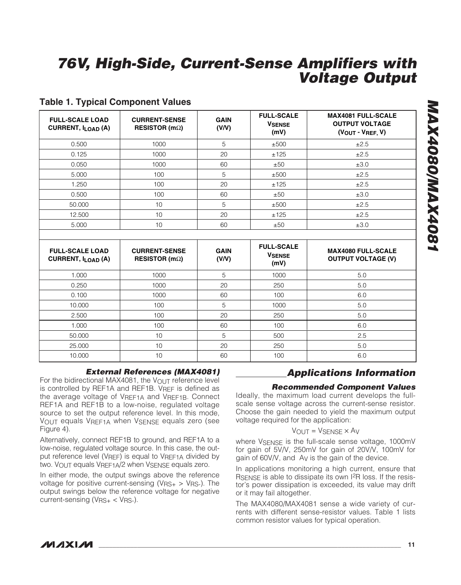#### **Table 1. Typical Component Values**

| <b>FULL-SCALE LOAD</b><br><b>CURRENT, ILOAD (A)</b> | <b>CURRENT-SENSE</b><br>RESISTOR (m $\Omega$ ) | <b>GAIN</b><br>(V/V) | <b>FULL-SCALE</b><br><b>VSENSE</b><br>(mV) | <b>MAX4081 FULL-SCALE</b><br><b>OUTPUT VOLTAGE</b><br>(VOUT - VREF, V) |
|-----------------------------------------------------|------------------------------------------------|----------------------|--------------------------------------------|------------------------------------------------------------------------|
| 0.500                                               | 1000                                           | 5                    | ±500                                       | ±2.5                                                                   |
| 0.125                                               | 1000                                           | 20                   | ±125                                       | ±2.5                                                                   |
| 0.050                                               | 1000                                           | 60                   | ±50                                        | ±3.0                                                                   |
| 5.000                                               | 100                                            | 5                    | ±500                                       | ±2.5                                                                   |
| 1.250                                               | 100                                            | 20                   | ±125                                       | ±2.5                                                                   |
| 0.500                                               | 100                                            | 60                   | ±50                                        | ±3.0                                                                   |
| 50.000                                              | 10                                             | 5                    | ±500                                       | ±2.5                                                                   |
| 12.500                                              | 10                                             | 20                   | ±125                                       | ±2.5                                                                   |
| 5.000                                               | 10                                             | 60                   | ±50                                        | ±3.0                                                                   |
|                                                     |                                                |                      |                                            |                                                                        |

| <b>FULL-SCALE LOAD</b><br><b>CURRENT, ILOAD (A)</b> | <b>CURRENT-SENSE</b><br>RESISTOR (m $\Omega$ ) | <b>GAIN</b><br>(V/V) | <b>FULL-SCALE</b><br><b>VSENSE</b><br>(mV) | <b>MAX4080 FULL-SCALE</b><br><b>OUTPUT VOLTAGE (V)</b> |
|-----------------------------------------------------|------------------------------------------------|----------------------|--------------------------------------------|--------------------------------------------------------|
| 1.000                                               | 1000                                           | 5                    | 1000                                       | 5.0                                                    |
| 0.250                                               | 1000                                           | 20                   | 250                                        | 5.0                                                    |
| 0.100                                               | 1000                                           | 60                   | 100                                        | 6.0                                                    |
| 10.000                                              | 100                                            | 5                    | 1000                                       | 5.0                                                    |
| 2.500                                               | 100                                            | 20                   | 250                                        | 5.0                                                    |
| 1.000                                               | 100                                            | 60                   | 100                                        | 6.0                                                    |
| 50.000                                              | 10                                             | 5                    | 500                                        | 2.5                                                    |
| 25.000                                              | 10                                             | 20                   | 250                                        | 5.0                                                    |
| 10.000                                              | 10                                             | 60                   | 100                                        | 6.0                                                    |

#### **External References (MAX4081)**

For the bidirectional MAX4081, the  $V_{\text{OUT}}$  reference level is controlled by REF1A and REF1B. VREF is defined as the average voltage of VREF1A and VREF1B. Connect REF1A and REF1B to a low-noise, regulated voltage source to set the output reference level. In this mode, VOUT equals VREF1A when VSENSE equals zero (see Figure 4).

Alternatively, connect REF1B to ground, and REF1A to a low-noise, regulated voltage source. In this case, the output reference level (VRFF) is equal to VRFF1A divided by two. VOUT equals VREF1A/2 when VSENSE equals zero.

In either mode, the output swings above the reference voltage for positive current-sensing ( $V_{\text{RS}+} > V_{\text{RS}+}$ ). The output swings below the reference voltage for negative current-sensing (VRS+ < VRS-).

### **Applications Information**

#### **Recommended Component Values**

Ideally, the maximum load current develops the fullscale sense voltage across the current-sense resistor. Choose the gain needed to yield the maximum output voltage required for the application:

#### $V$ OUT =  $V$ SENSE  $\times$  A<sub>V</sub>

where VSENSE is the full-scale sense voltage, 1000mV for gain of 5V/V, 250mV for gain of 20V/V, 100mV for gain of 60V/V, and AV is the gain of the device.

In applications monitoring a high current, ensure that RSENSE is able to dissipate its own I<sup>2</sup>R loss. If the resistor's power dissipation is exceeded, its value may drift or it may fail altogether.

The MAX4080/MAX4081 sense a wide variety of currents with different sense-resistor values. Table 1 lists common resistor values for typical operation.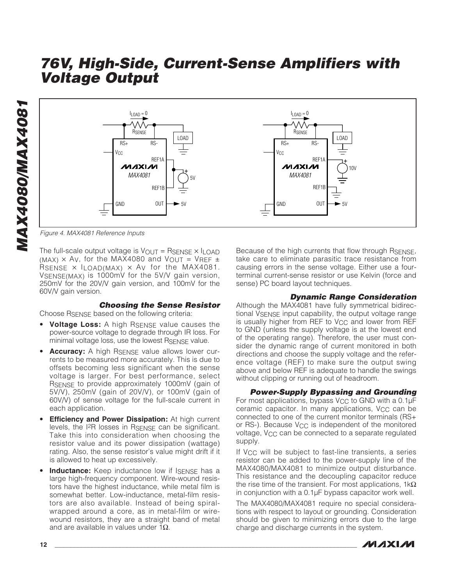![](_page_11_Figure_2.jpeg)

Figure 4. MAX4081 Reference Inputs

The full-scale output voltage is  $V_{\text{OUT}} =$  RSENSE  $\times$  ILOAD (MAX)  $\times$  Ay, for the MAX4080 and VOUT = VREF  $\pm$ RSENSE  $\times$  ILOAD(MAX)  $\times$  Ay for the MAX4081. VSENSE(MAX) is 1000mV for the 5V/V gain version, 250mV for the 20V/V gain version, and 100mV for the 60V/V gain version.

**Choosing the Sense Resistor**

Choose R<sub>SENSE</sub> based on the following criteria:

- **Voltage Loss:** A high RSENSE value causes the power-source voltage to degrade through IR loss. For minimal voltage loss, use the lowest RSENSE value.
- **Accuracy:** A high RSENSE value allows lower currents to be measured more accurately. This is due to offsets becoming less significant when the sense voltage is larger. For best performance, select RSENSE to provide approximately 1000mV (gain of 5V/V), 250mV (gain of 20V/V), or 100mV (gain of 60V/V) of sense voltage for the full-scale current in each application.
- **Efficiency and Power Dissipation:** At high current levels, the I2R losses in RSENSE can be significant. Take this into consideration when choosing the resistor value and its power dissipation (wattage) rating. Also, the sense resistor's value might drift if it is allowed to heat up excessively.
- **Inductance:** Keep inductance low if ISENSE has a large high-frequency component. Wire-wound resistors have the highest inductance, while metal film is somewhat better. Low-inductance, metal-film resistors are also available. Instead of being spiralwrapped around a core, as in metal-film or wirewound resistors, they are a straight band of metal and are available in values under  $1\Omega$ .

Because of the high currents that flow through RSENSE, take care to eliminate parasitic trace resistance from causing errors in the sense voltage. Either use a fourterminal current-sense resistor or use Kelvin (force and sense) PC board layout techniques.

#### **Dynamic Range Consideration**

Although the MAX4081 have fully symmetrical bidirectional V<sub>SENSE</sub> input capability, the output voltage range is usually higher from REF to V<sub>CC</sub> and lower from REF to GND (unless the supply voltage is at the lowest end of the operating range). Therefore, the user must consider the dynamic range of current monitored in both directions and choose the supply voltage and the reference voltage (REF) to make sure the output swing above and below REF is adequate to handle the swings without clipping or running out of headroom.

**Power-Supply Bypassing and Grounding** For most applications, bypass V<sub>CC</sub> to GND with a  $0.1\mu$ F ceramic capacitor. In many applications, V<sub>CC</sub> can be connected to one of the current monitor terminals (RS+ or RS-). Because  $V_{CC}$  is independent of the monitored voltage, VCC can be connected to a separate regulated supply.

If V<sub>CC</sub> will be subject to fast-line transients, a series resistor can be added to the power-supply line of the MAX4080/MAX4081 to minimize output disturbance. This resistance and the decoupling capacitor reduce the rise time of the transient. For most applications, 1k $\Omega$ in conjunction with a 0.1µF bypass capacitor work well.

The MAX4080/MAX4081 require no special considerations with respect to layout or grounding. Consideration should be given to minimizing errors due to the large charge and discharge currents in the system.

![](_page_11_Picture_17.jpeg)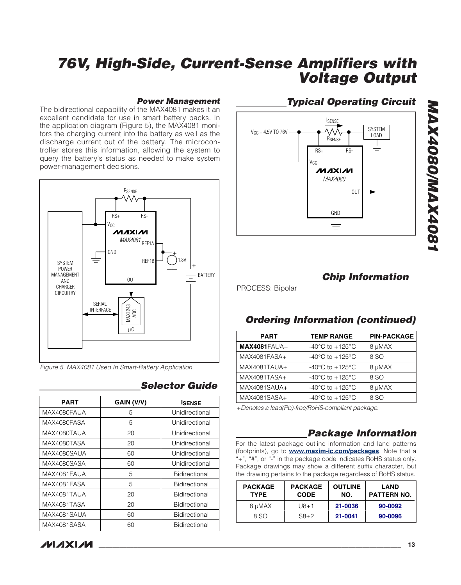#### **Power Management**

The bidirectional capability of the MAX4081 makes it an excellent candidate for use in smart battery packs. In the application diagram (Figure 5), the MAX4081 monitors the charging current into the battery as well as the discharge current out of the battery. The microcontroller stores this information, allowing the system to query the battery's status as needed to make system power-management decisions.

![](_page_12_Figure_3.jpeg)

Figure 5. MAX4081 Used In Smart-Battery Application

| PART        | GAIN (V/V) | <b>ISENSE</b>        |
|-------------|------------|----------------------|
| MAX4080FAUA | 5          | Unidirectional       |
| MAX4080FASA | 5          | Unidirectional       |
| MAX4080TAUA | 20         | Unidirectional       |
| MAX4080TASA | 20         | Unidirectional       |
| MAX4080SAUA | 60         | Unidirectional       |
| MAX4080SASA | 60         | Unidirectional       |
| MAX4081FAUA | 5          | Bidirectional        |
| MAX4081FASA | 5          | <b>Bidirectional</b> |
| MAX4081TAUA | 20         | <b>Bidirectional</b> |
| MAX4081TASA | 20         | <b>Bidirectional</b> |
| MAX4081SAUA | 60         | <b>Bidirectional</b> |
| MAX4081SASA | 60         | <b>Bidirectional</b> |

### **Selector Guide**

### **MAXM**

### **Typical Operating Circuit**

![](_page_12_Figure_9.jpeg)

### **Chip Information**

PROCESS: Bipolar

### **Ordering Information (continued)**

| <b>PART</b>         | <b>TEMP RANGE</b>                     | <b>PIN-PACKAGE</b> |
|---------------------|---------------------------------------|--------------------|
| <b>MAX4081FAUA+</b> | -40 $^{\circ}$ C to +125 $^{\circ}$ C | 8 µMAX             |
| MAX4081FASA+        | -40 $^{\circ}$ C to +125 $^{\circ}$ C | 8 SO               |
| MAX4081TAUA+        | $-40^{\circ}$ C to $+125^{\circ}$ C   | 8 µMAX             |
| MAX4081TASA+        | -40 $^{\circ}$ C to +125 $^{\circ}$ C | 8 SO               |
| MAX4081SAUA+        | -40 $^{\circ}$ C to +125 $^{\circ}$ C | 8 µMAX             |
| MAX4081SASA+        | -40 $^{\circ}$ C to +125 $^{\circ}$ C | 8 SO               |
|                     |                                       |                    |

+Denotes a lead(Pb)-free/RoHS-compliant package.

### **Package Information**

For the latest package outline information and land patterns (footprints), go to **[www.maxim-ic.com/packages](http://www.maxim-ic.com/packages)**. Note that a "+", "#", or "-" in the package code indicates RoHS status only. Package drawings may show a different suffix character, but the drawing pertains to the package regardless of RoHS status.

| <b>PACKAGE</b><br><b>TYPE</b> | <b>PACKAGE</b><br><b>CODE</b> | <b>OUTLINE</b><br>NO. | <b>LAND</b><br><b>PATTERN NO.</b> |
|-------------------------------|-------------------------------|-----------------------|-----------------------------------|
| 8 uMAX                        | $U8 + 1$                      | 21-0036               | 90-0092                           |
| 8 SO                          | $S8+2$                        | 21-0041               | 90-0096                           |